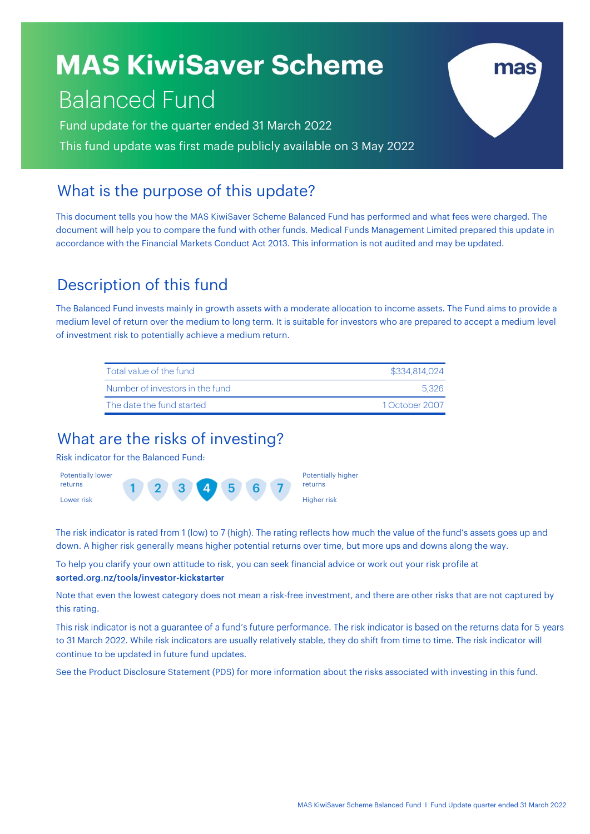# **MAS KiwiSaver Scheme** Balanced Fund

 Fund update for the quarter ended 31 March 2022 This fund update was first made publicly available on 3 May 2022

# What is the purpose of this update?

This document tells you how the MAS KiwiSaver Scheme Balanced Fund has performed and what fees were charged. The document will help you to compare the fund with other funds. Medical Funds Management Limited prepared this update in accordance with the Financial Markets Conduct Act 2013. This information is not audited and may be updated.

## Description of this fund

The Balanced Fund invests mainly in growth assets with a moderate allocation to income assets. The Fund aims to provide a medium level of return over the medium to long term. It is suitable for investors who are prepared to accept a medium level of investment risk to potentially achieve a medium return.

| Total value of the fund         | \$334,814,024  |
|---------------------------------|----------------|
| Number of investors in the fund | 5326           |
| The date the fund started       | 1 October 2007 |

## What are the risks of investing?

Risk indicator for the Balanced Fund:



The risk indicator is rated from 1 (low) to 7 (high). The rating reflects how much the value of the fund's assets goes up and down. A higher risk generally means higher potential returns over time, but more ups and downs along the way.

To help you clarify your own attitude to risk, you can seek financial advice or work out your risk profile at

#### [sorted.org.nz/tools/investor-kickstarter](https://sorted.org.nz/tools/investor-kickstarter)

Note that even the lowest category does not mean a risk-free investment, and there are other risks that are not captured by this rating.

This risk indicator is not a guarantee of a fund's future performance. The risk indicator is based on the returns data for 5 years to 31 March 2022. While risk indicators are usually relatively stable, they do shift from time to time. The risk indicator will continue to be updated in future fund updates.

See the Product Disclosure Statement (PDS) for more information about the risks associated with investing in this fund.

mas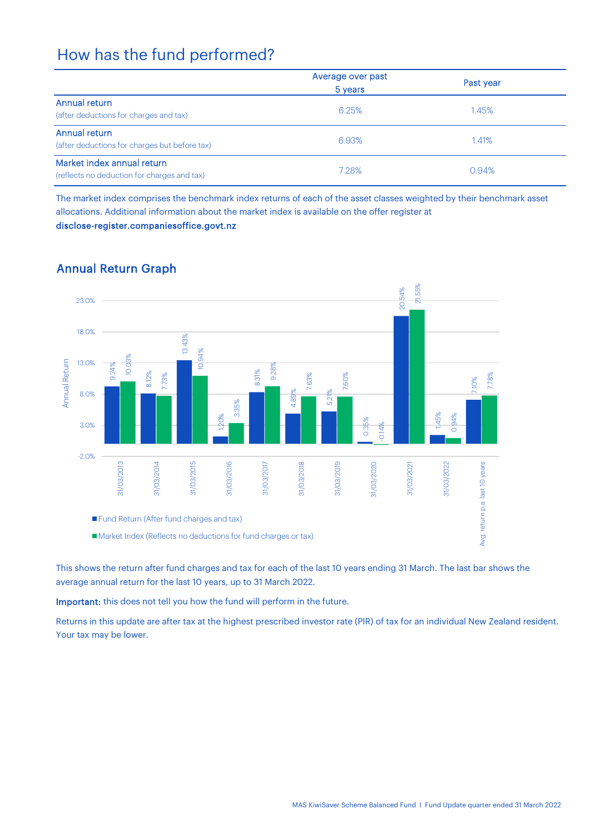## How has the fund performed?

|                                                                           | Average over past<br>5 years | Past year |
|---------------------------------------------------------------------------|------------------------------|-----------|
| Annual return<br>(after deductions for charges and tax)                   | 6.25%                        | 1.45%     |
| Annual return<br>(after deductions for charges but before tax)            | 6.93%                        | 1.41%     |
| Market index annual return<br>(reflects no deduction for charges and tax) | 7.28%                        | 0.94%     |

The market index comprises the benchmark index returns of each of the asset classes weighted by their benchmark asset allocations. Additional information about the market index is available on the offer register at [disclose-register.companiesoffice.govt.nz](https://disclose-register.companiesoffice.govt.nz/)

## Annual Return Graph



This shows the return after fund charges and tax for each of the last 10 years ending 31 March. The last bar shows the average annual return for the last 10 years, up to 31 March 2022.

Important: this does not tell you how the fund will perform in the future.

Returns in this update are after tax at the highest prescribed investor rate (PIR) of tax for an individual New Zealand resident. Your tax may be lower.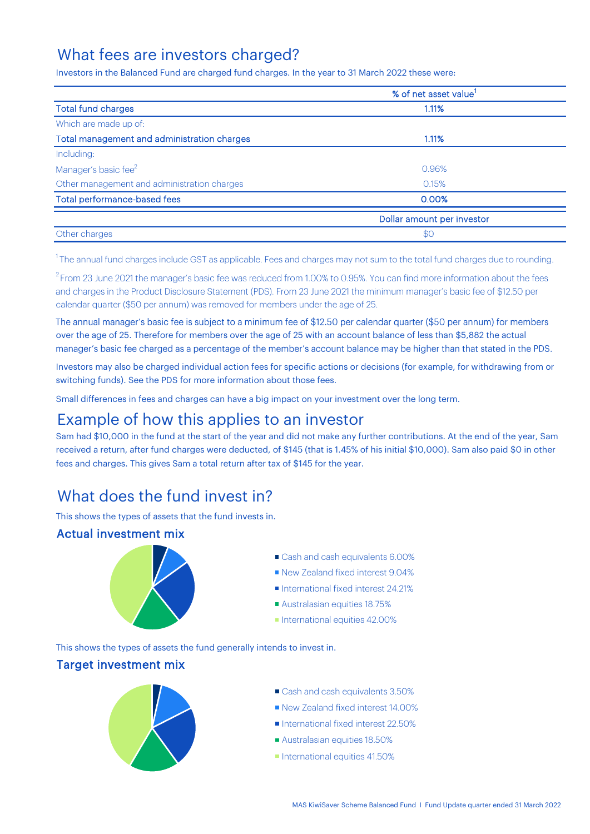# What fees are investors charged?

Investors in the Balanced Fund are charged fund charges. In the year to 31 March 2022 these were:

|                                             | % of net asset value <sup>1</sup> |  |
|---------------------------------------------|-----------------------------------|--|
| <b>Total fund charges</b>                   | 1.11%                             |  |
| Which are made up of:                       |                                   |  |
| Total management and administration charges | 1.11%                             |  |
| Including:                                  |                                   |  |
| Manager's basic fee <sup>2</sup>            | 0.96%                             |  |
| Other management and administration charges | 0.15%                             |  |
| Total performance-based fees                | 0.00%                             |  |
|                                             | Dollar amount per investor        |  |
| Other charges                               | \$C                               |  |

<sup>1</sup>The annual fund charges include GST as applicable. Fees and charges may not sum to the total fund charges due to rounding.

 $2$  From 23 June 2021 the manager's basic fee was reduced from 1.00% to 0.95%. You can find more information about the fees and charges in the Product Disclosure Statement (PDS). From 23 June 2021 the minimum manager's basic fee of \$12.50 per calendar quarter (\$50 per annum) was removed for members under the age of 25.

The annual manager's basic fee is subject to a minimum fee of \$12.50 per calendar quarter (\$50 per annum) for members over the age of 25. Therefore for members over the age of 25 with an account balance of less than \$5,882 the actual manager's basic fee charged as a percentage of the member's account balance may be higher than that stated in the PDS.

Investors may also be charged individual action fees for specific actions or decisions (for example, for withdrawing from or switching funds). See the PDS for more information about those fees.

Small differences in fees and charges can have a big impact on your investment over the long term.

## Example of how this applies to an investor

Sam had \$10,000 in the fund at the start of the year and did not make any further contributions. At the end of the year, Sam received a return, after fund charges were deducted, of \$145 (that is 1.45% of his initial \$10,000). Sam also paid \$0 in other fees and charges. This gives Sam a total return after tax of \$145 for the year.

## What does the fund invest in?

This shows the types of assets that the fund invests in.

#### Actual investment mix



- Cash and cash equivalents 6.00%
- New Zealand fixed interest 9.04%
- International fixed interest 24.21%
- Australasian equities 18.75%
- **International equities 42.00%**

This shows the types of assets the fund generally intends to invest in.

#### Target investment mix



- Cash and cash equivalents 3.50%
- New Zealand fixed interest 14.00%
- International fixed interest 22.50%
- Australasian equities 18.50%
- **International equities 41.50%**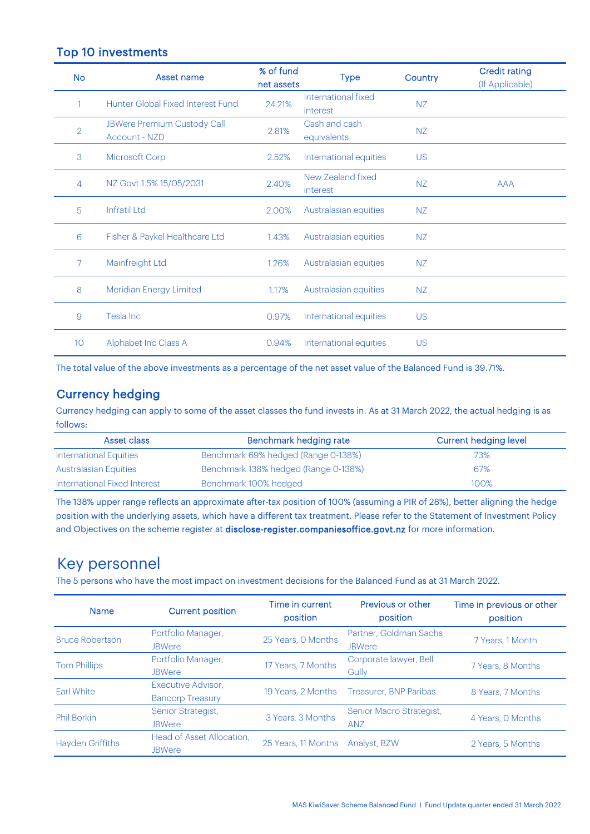### Top 10 investments

| <b>No</b>       | Asset name                                                 | % of fund<br>net assets | <b>Type</b>                     | Country   | <b>Credit rating</b><br>(If Applicable) |
|-----------------|------------------------------------------------------------|-------------------------|---------------------------------|-----------|-----------------------------------------|
|                 | Hunter Global Fixed Interest Fund                          | 24.21%                  | International fixed<br>interest | <b>NZ</b> |                                         |
| $\overline{2}$  | <b>JBWere Premium Custody Call</b><br><b>Account - NZD</b> | 2.81%                   | Cash and cash<br>equivalents    | NZ        |                                         |
| 3               | Microsoft Corp                                             | 2.52%                   | International equities          | <b>US</b> |                                         |
| $\overline{4}$  | NZ Govt 1.5% 15/05/2031                                    | 2.40%                   | New Zealand fixed<br>interest   | NZ        | <b>AAA</b>                              |
| 5               | Infratil Ltd                                               | 2.00%                   | Australasian equities           | <b>NZ</b> |                                         |
| 6               | Fisher & Paykel Healthcare Ltd                             | 1.43%                   | Australasian equities           | <b>NZ</b> |                                         |
| 7.              | Mainfreight Ltd                                            | 1.26%                   | Australasian equities           | <b>NZ</b> |                                         |
| 8               | Meridian Energy Limited                                    | 1.17%                   | Australasian equities           | NZ        |                                         |
| 9               | Tesla Inc                                                  | 0.97%                   | International equities          | <b>US</b> |                                         |
| 10 <sup>°</sup> | Alphabet Inc Class A                                       | 0.94%                   | International equities          | <b>US</b> |                                         |

The total value of the above investments as a percentage of the net asset value of the Balanced Fund is 39.71%.

## Currency hedging

Currency hedging can apply to some of the asset classes the fund invests in. As at 31 March 2022, the actual hedging is as follows:

| Asset class                   | Benchmark hedging rate               | Current hedging level |
|-------------------------------|--------------------------------------|-----------------------|
| <b>International Equities</b> | Benchmark 69% hedged (Range 0-138%)  | 73%                   |
| <b>Australasian Equities</b>  | Benchmark 138% hedged (Range 0-138%) | 67%                   |
| International Fixed Interest  | Benchmark 100% hedged                | 100%                  |

The 138% upper range reflects an approximate after-tax position of 100% (assuming a PIR of 28%), better aligning the hedge position with the underlying assets, which have a different tax treatment. Please refer to the Statement of Investment Policy and Objectives on the scheme register at [disclose-register.companiesoffice.govt.nz](https://disclose-register.companiesoffice.govt.nz/) for more information.

## Key personnel

The 5 persons who have the most impact on investment decisions for the Balanced Fund as at 31 March 2022.

| <b>Name</b>             | <b>Current position</b>   | Time in current<br>position | Previous or other<br>position | Time in previous or other<br>position |  |
|-------------------------|---------------------------|-----------------------------|-------------------------------|---------------------------------------|--|
| <b>Bruce Robertson</b>  | Portfolio Manager,        | 25 Years, O Months          | Partner, Goldman Sachs        | 7 Years, 1 Month                      |  |
|                         | <b>JBWere</b>             |                             | <b>JBWere</b>                 |                                       |  |
| <b>Tom Phillips</b>     | Portfolio Manager,        | 17 Years, 7 Months          | Corporate lawyer, Bell        |                                       |  |
|                         | <b>JBWere</b>             |                             | Gully                         | 7 Years, 8 Months                     |  |
| <b>Earl White</b>       | Executive Advisor.        | 19 Years, 2 Months          | <b>Treasurer, BNP Paribas</b> | 8 Years, 7 Months                     |  |
|                         | <b>Bancorp Treasury</b>   |                             |                               |                                       |  |
| <b>Phil Borkin</b>      | Senior Strategist,        |                             | Senior Macro Strategist,      |                                       |  |
|                         | <b>JBWere</b>             | 3 Years, 3 Months           | <b>ANZ</b>                    | 4 Years, O Months                     |  |
|                         | Head of Asset Allocation, |                             |                               |                                       |  |
| <b>Hayden Griffiths</b> | <b>JBWere</b>             | 25 Years, 11 Months         | Analyst, BZW                  | 2 Years, 5 Months                     |  |